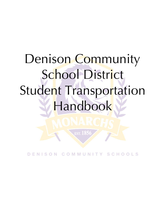# Denison Community School District Student Transportation Handbook

NISON C. OMMUNI - s c  $H$   $O$   $O$   $I$   $S$ 

EST. 1856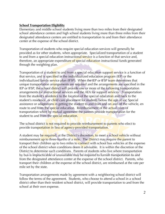#### **School Transportation Eligibility**

Elementary and middle school students living more than two miles from their designated school attendance centers and high school students living more than three miles from their designated attendance centers are entitled to transportation to and from their attendance center at the expense of the school district.

Transportation of students who require special education services will generally be provided as for other students, when appropriate. Specialized transportation of a student to and from a special education instructional service is a function of that service and, therefore, an appropriate expenditure of special education instructional funds generated through the weighting plan.

Transportation of a student to and from a special education support service is a function of that service, and is specified in the individualized education program (IEP) or the individualized family service plan (IFSP). When the IEP or IFSP team determines that unique transportation arrangements are required and the arrangements are specified in the IEP or IFSP, the school district will provide one or more of the following transportation arrangements for instructional services and the AEA for support services: Transportation from the student's residence to the location of the special education and back to the student's residence, or child care placement for students below the age of six; Special assistance or adaptations in getting the student to and from and on and off the vehicle, en route to and from the special education. Reimbursement of the actual costs of transportation when by mutual agreement the parents provide transportation for the student to and from the special education.

The school district is not required to provide reimbursement to parents who elect to provide transportation in lieu of agency-provided transportation.

A student may be required, at the District's discretion, to meet a school vehicle without reimbursement up to three-fourths of a mile. The District may require the parent to transport their children up to two miles to connect with school bus vehicles at the expense of the school district when conditions deem it advisable. It is within the discretion of the District to determine such conditions. Parents of students who live where transportation by bus is impracticable or unavailable may be required to furnish transportation to and from the designated attendance center at the expense of the school district. Parents, who transport their children at the expense of the school district, are reimbursed at the rate per mile set by the state.

Transportation arrangements made by agreement with a neighboring school district will follow the terms of the agreement. Students, who choose to attend a school in a school district other than their resident school district, will provide transportation to and from the school at their own expense.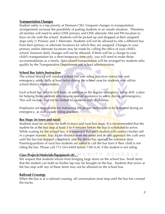#### **Transportation Changes**

Student safety is a top priority at Denison CSD. Frequent changes in transportation arrangements increase the possibility of putting students in an unsafe situation. Therefore, all families will need to select ONE primary and ONE alternate AM and PM location to have on file with the school. Students will be picked up and dropped at their assigned stops only (1 Primary and 1 Alternate). Students will not be allowed to ride a different bus from their primary or alternate locations for which they are assigned. Changes to your primary and/or alternate locations may be made by calling the office of your child's school, however daily changes will not be allowed. If there will be a change to your child's transportation for a short temporary time only, you will need to make those accommodations as a family. Specialized transportation will be arranged for students who qualify by the Transportation Department and school administration.

#### **School Bus Safety Instruction**

The school district will conduct school bus safe riding practices instruction and emergency safety drills at least twice during the school year for students who utilize school district transportation.

Each school bus vehicle will have, in addition to the regular emergency safety drill, a plan for helping those students who require special assistance to safety during an emergency. This will include, but not be limited to, students with disabilities.

Employees are responsible for instructing the proper techniques to be followed during an emergency, as well as safe riding practices.

#### **Bus Stops (in town and rural)**

Students must be on time for both in town and rural bus stops. It is recommended that the student be at the bus stop at least 3 to 4 minutes before the bus is scheduled to arrive. While waiting for the school bus, it is expected that each student will conduct his/her self in a proper manner. Stay a safe distance from the street and do not approach the curb area until the bus has stopped completely and the driver has opened the entrance door. Parents/guardians of rural bus students are asked to call the bus barn if their child is not riding the bus. Please call 712-263-6404 before 7:00 A.M. if the student is not riding.

## **Class Projects/Materials/Equipment etc…**

We request that students refrain from bringing large items on the school bus. Small items that the student can hold on his/her lap may be brought on the bus. Students that arrive at the bus stop with any of these items may not be allowed on the school bus.

#### **Railroad Crossings**

When the bus is at a railroad crossing, all conversation must stop until the bus has crossed the tracks.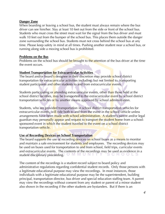#### **Danger Zone**

When boarding or leaving a school bus, the student must always remain where the bus driver can see him/her. Stay at least 10 feet out from the side or front of the school bus. Students who must cross the street must wait for the signal from the bus driver and must walk 10 feet out from the bumper of the school bus. This places them outside the danger zone surrounding the school bus. Students must not cross behind the school bus at any time. Please keep safety in mind at all times. Pushing another student near a school bus, or running along side a moving school bus is prohibited.

#### **Problems on the Bus**

Problems on the school bus should be brought to the attention of the bus driver at the time the event occurs.

#### **Student Transportation for Extracurricular Activities**

The board and/or board's designee in their discretion may provide school district transportation for extracurricular activities including, but not limited to, transporting student participants and other students to and from extracurricular events.

Students participating or attending extracurricular events, other than those held at the school district facilities, may be transported to the extracurricular event by school district transportation vehicles or by another means approved by school administration.

Students, who are provided transportation in school district transportation vehicles for extracurricular events, will ride both to and from the event in the school vehicle unless arrangements have been made with school administration. A student's parent and/or legal guardian may personally appear and request to transport the student home from a schoolsponsored event in which the student traveled to the event on a school district transportation vehicle.

#### **Use of Recording Devices on School Transportation**

The board supports the use of recording devices on school buses as a means to monitor and maintain a safe environment for students and employees. The recording devices may be used on buses used for transportation to and from school, field trips, curricular events and extracurricular events. The contents of the recordings may be used as evidence in a student disciplinary proceeding. O M M U N I T Y S C H O O L S

The content of the recordings is a student record subject to board policy and administrative regulations regarding confidential student records. Only those persons with a legitimate educational purpose may view the recordings. In most instances, those individuals with a legitimate educational purpose may be the superintendent, building principal, transportation director, bus driver and special education staffing team. A parent may view the recordings without consent from any student or parent of a minor student also shown in the recording if the other students are bystanders. But if there is an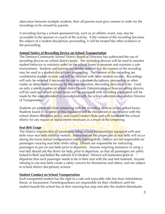altercation between multiple students, then all parents must give consent in order for the recordings to be viewed by parents.

A recording during a school-sponsored trip, such as an athletic event, may also be accessible to the sponsor or coach of the activity. If the content of the recording becomes the subject of a student disciplinary proceeding, it will be treated like other evidence in the proceeding.

### **Annual Notice of Recording Device on School Transportation**

The Denison Community School District Board of Directors has authorized the use of recording devices on school district buses. The recording devices will be used to monitor student behavior to maintain order on the school buses to promote and maintain a safe environment. Students and parents are hereby notified that the content of the recording may be used in a student disciplinary proceeding. The content of the recording are confidential student records and will be retained with other student records. Recordings will only be retained if necessary for use in a student disciplinary proceeding or other matter as determined necessary by the administration. Recording devices will be: Used on only a select number of school district buses. Determination of how recording devices will be used and which school buses will be equipped with recording equipment will be made by the superintendent in consultation with the school administration and/or Director of Transportation.

Students are prohibited from tampering with the recording devices on the school buses. Students found in violation of this regulation will be disciplined in accordance with the school district discipline **policy and Good Conduct Rule and will reimburse** the school district for any repairs or replacement necessary as a result of the tampering.

#### **Seat Belt Usage**

The District requires that all passengers riding school transportation equipped with seat belts wear seat belts while in motion. Instruction on the proper use of seat belts will occur during the twice annual transportation safety training/drills. Drivers are not responsible for passengers wearing seat belts while riding. Drivers are responsible for instructing passengers to put on seat belts prior to departure. Anyone requiring assistance in using a seat belt should ask the driver for help, prior to departure, so that all passengers are safely belted in their seat before the vehicle is in motion. Drivers will announce prior to departure that each passenger needs to be in their seat with the seat belt fastened. Anyone refusing to use seat belts create a safety concern for themselves and others, and are subject to school district disciplinary actions.

#### **Student Conduct on School Transportation**

Each transported student has the right to a safe and enjoyable ride free from intimidation, threat, or harassment. Parents/guardians are responsible for their child(ren) until the student boards the school bus at their morning bus stop and after the student disembarks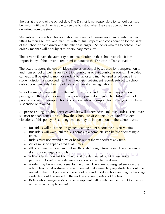the bus at the end of the school day. The District is not responsible for school bus stop behavior until the driver is able to see the bus stop when they are approaching or departing from the stop.

Students utilizing school transportation will conduct themselves in an orderly manner fitting to their age level and maturity with mutual respect and consideration for the rights of the school vehicle driver and the other passengers. Students who fail to behave in an orderly manner will be subject to disciplinary measures.

The driver will have the authority to maintain order on the school vehicle. It is the responsibility of the driver to report misconduct to the Director of Transportation.

The board supports the use of video cameras on school buses used for transportation to and from school as well as for field trips, curricular or extracurricular events. The video cameras will be used to monitor student behavior and may be used as evidence in a student disciplinary proceeding. The videotapes are student records subject to school district confidentiality, board policy and administrative regulations.

School administration will have the authority to suspend or revoke transportation privileges of the student or impose other appropriate discipline. The District will not provide alternative transportation to a student whose transportation privileges have been suspended or revoked.

All persons riding in school district vehicles will adhere to the following rules. The driver, sponsor or chaperones are to follow the school bus discipline procedure for student violations of this policy. Recording devices may be in operation on the school buses.

- Bus riders will be at the designated loading point before the bus arrival time.
- Bus riders will wait until the bus comes to a complete stop before attempting to enter.
- Riders must not extend arms or heads out of the windows at any time.
- Aisles must be kept cleared at all times.
- All bus riders will load and unload through the right front door. The emergency door is for emergencies only.
- A bus rider will depart from the bus at the designated point unless written S<br>• A bus rider will depart from the bus at the designated point unless written permission to get off at a different location is given to the driver.
- A rider may be assigned a seat by the driver. There are no assigned seats on the school bus, but it is strongly recommended that elementary age students should be seated in the front portion of the school bus and middle school and high school age students should be seated in the middle and rear portion of the bus.
- Riders who damage seats or other equipment will reimburse the district for the cost of the repair or replacement.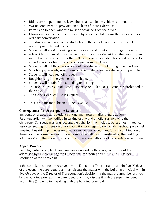- Riders are not permitted to leave their seats while the vehicle is in motion.
- Waste containers are provided on all buses for bus riders' use.
- Permission to open windows must be obtained from the driver.
- Classroom conduct is to be observed by students while riding the bus except for ordinary conversation.
- The driver is in charge of the students and the vehicle, and the driver is to be obeyed promptly and respectfully.
- Students will assist in looking after the safety and comfort of younger students.
- A bus rider who must cross the roadway to board or depart from the bus will pass in front of the bus (no closer than 10 feet), look in both directions and proceed to cross the road or highway only on signal from the driver.
- Students will not throw objects about the vehicle nor out through the windows.
- Shooting paper wads, squirt guns or other material in the vehicle is not permitted.
- Students will keep feet off the seats.
- Roughhousing in the vehicle is prohibited.
- Students will refrain from crowding or pushing.
- The use or possession of alcohol, tobacco or look-alike substances is prohibited in the vehicle.
- The Good Conduct Rule is in effect.
- This is not meant to be an all-inclusive list.

#### **Consequences for Unacceptable Behavior**

Incidents of unacceptable student conduct may result in disciplinary action. Parent/guardian will be notified in writing of any and all offenses involving their child(ren). Consequences of unacceptable behavior may include, but are not limited to: restricted seating, suspension of transportation privileges, parent/student/school personnel meeting, bus riding privileges revoked for remainder of year, and/or any combination of these possible consequences. Student discipline will be administered by the building administrator of the student's school, in cooperation with school transportation personnel.

#### **Appeal Process**

Parent/guardian complaints and grievances regarding these regulations should be addressed by first contacting the Director of Transportation at 712-263-6404, for resolution of the complaint.

If the complaint cannot be resolved by the Director of Transportation within five (5) days of the event, the parent/guardian may discuss the matter with the building principal within five (5) days of the Director of Transportation's decision. If the matter cannot be resolved by the building principal, the parent/guardian may discuss it with the superintendent within five (5) days after speaking with the building principal.